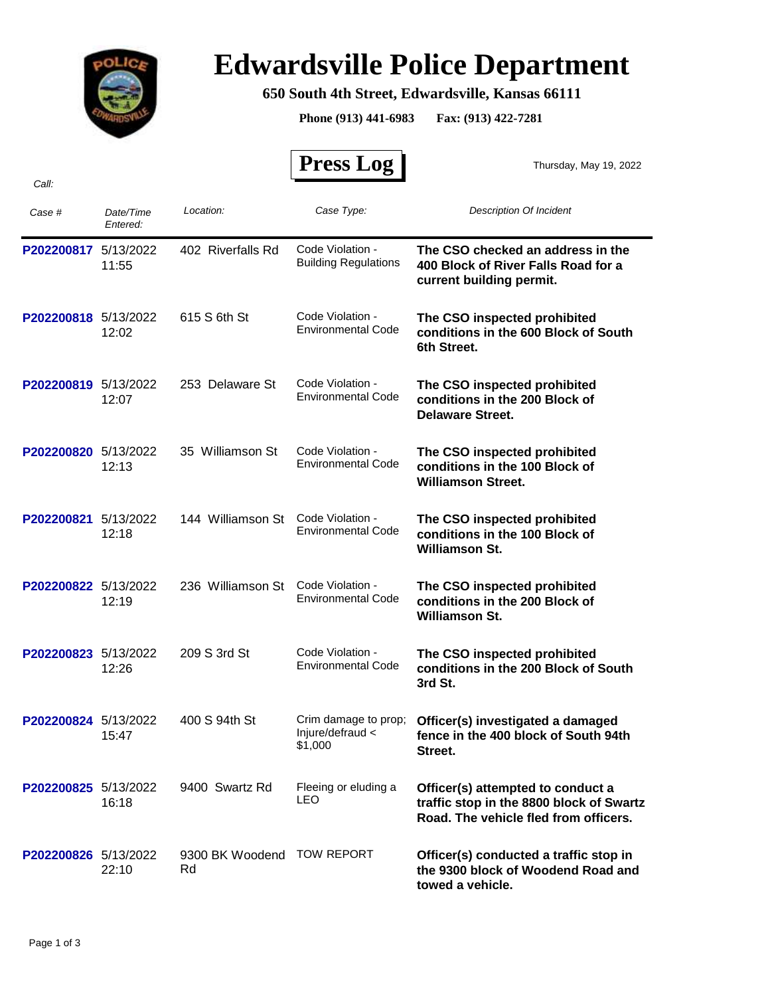

## **Edwardsville Police Department**

## **650 South 4th Street, Edwardsville, Kansas 66111**

**Phone (913) 441-6983 Fax: (913) 422-7281**

 **Press Log**  *Case # Date/Time Entered: Location: Case Type: Description Of Incident*  Thursday, May 19, 2022 **P202200817** 5/13/2022 **The CSO checked an address in the 400 Block of River Falls Road for a current building permit.** Code Violation - 11:55 **Building Regulations** 402 Riverfalls Rd **P202200818** 5/13/2022 **The CSO inspected prohibited conditions in the 600 Block of South 6th Street.** Code Violation - 12:02 Environmental Code 615 S 6th St **P202200819** 5/13/2022 **The CSO inspected prohibited conditions in the 200 Block of Delaware Street.** Code Violation - 12:07 Environmental Code 253 Delaware St **P202200820** 5/13/2022 **The CSO inspected prohibited conditions in the 100 Block of Williamson Street.** Code Violation - 12:13 Environmental Code 35 Williamson St **P202200821** 5/13/2022 **The CSO inspected prohibited conditions in the 100 Block of Williamson St.** 144 Williamson St Code Violation -12:18 Environmental Code **P202200822** 5/13/2022 **The CSO inspected prohibited conditions in the 200 Block of Williamson St.** Code Violation - 12:19 Environmental Code 236 Williamson St **P202200823** 5/13/2022 **The CSO inspected prohibited conditions in the 200 Block of South 3rd St.** Code Violation - 12:26 Environmental Code 209 S 3rd St **P202200824** 5/13/2022 400 S 94th St Crim damage to prop; Officer(s) investigated a damaged **fence in the 400 block of South 94th Street.** Crim damage to prop; Injure/defraud < \$1,000 15:47 400 S 94th St **P202200825** 5/13/2022 9400 Swartz Rd Fleeing or eluding a **Officer(s) attempted to conduct a**<br>LEO **traffic stop in the 8800 block of Sv traffic stop in the 8800 block of Swartz Road. The vehicle fled from officers.** Fleeing or eluding a  $16:18$ 9400 Swartz Rd **P202200826** 5/13/2022 9300 BK Woodend TOW REPORT **Officer(s) conducted a traffic stop in the 9300 block of Woodend Road and towed a vehicle.** 9300 BK Woodend TOW REPORT 22:10 Rd

*Call:*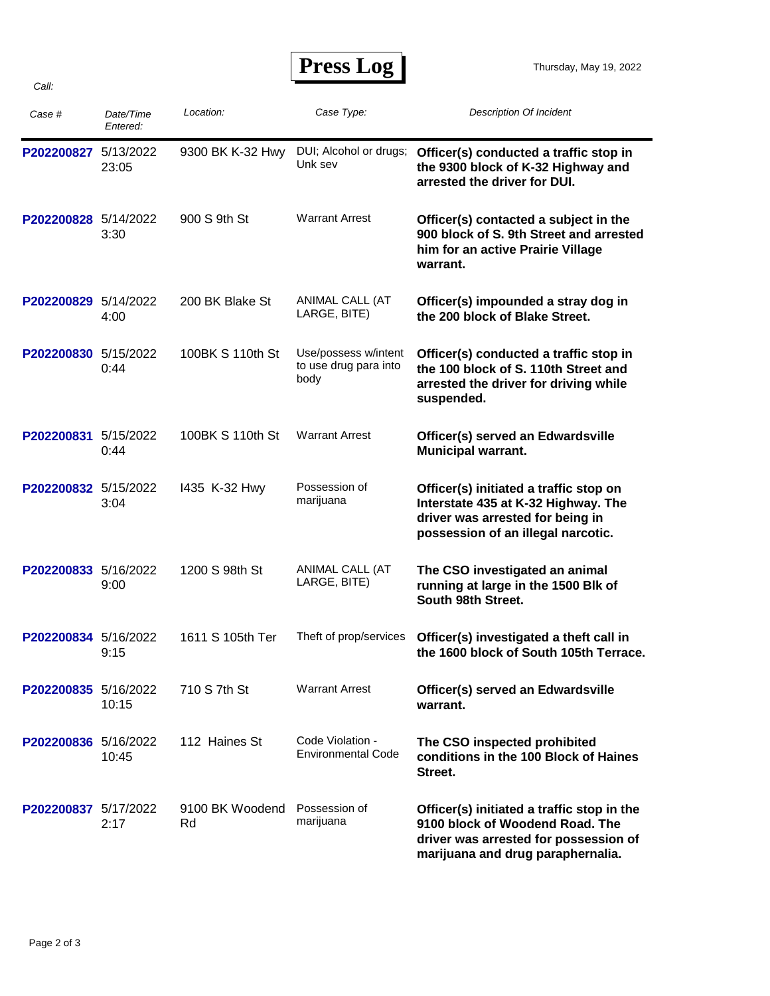## **Press Log**

| Case #               | Date/Time<br>Entered: | Location:             | Case Type:                                            | <b>Description Of Incident</b>                                                                                                                              |
|----------------------|-----------------------|-----------------------|-------------------------------------------------------|-------------------------------------------------------------------------------------------------------------------------------------------------------------|
| P202200827 5/13/2022 | 23:05                 | 9300 BK K-32 Hwy      | DUI; Alcohol or drugs;<br>Unk sev                     | Officer(s) conducted a traffic stop in<br>the 9300 block of K-32 Highway and<br>arrested the driver for DUI.                                                |
| P202200828 5/14/2022 | 3:30                  | 900 S 9th St          | <b>Warrant Arrest</b>                                 | Officer(s) contacted a subject in the<br>900 block of S. 9th Street and arrested<br>him for an active Prairie Village<br>warrant.                           |
| P202200829 5/14/2022 | 4:00                  | 200 BK Blake St       | ANIMAL CALL (AT<br>LARGE, BITE)                       | Officer(s) impounded a stray dog in<br>the 200 block of Blake Street.                                                                                       |
| P202200830 5/15/2022 | 0:44                  | 100BK S 110th St      | Use/possess w/intent<br>to use drug para into<br>body | Officer(s) conducted a traffic stop in<br>the 100 block of S. 110th Street and<br>arrested the driver for driving while<br>suspended.                       |
| P202200831 5/15/2022 | 0:44                  | 100BK S 110th St      | <b>Warrant Arrest</b>                                 | Officer(s) served an Edwardsville<br><b>Municipal warrant.</b>                                                                                              |
| P202200832 5/15/2022 | 3:04                  | 1435 K-32 Hwy         | Possession of<br>marijuana                            | Officer(s) initiated a traffic stop on<br>Interstate 435 at K-32 Highway. The<br>driver was arrested for being in<br>possession of an illegal narcotic.     |
| P202200833 5/16/2022 | 9:00                  | 1200 S 98th St        | ANIMAL CALL (AT<br>LARGE, BITE)                       | The CSO investigated an animal<br>running at large in the 1500 Blk of<br>South 98th Street.                                                                 |
| P202200834 5/16/2022 | 9:15                  | 1611 S 105th Ter      | Theft of prop/services                                | Officer(s) investigated a theft call in<br>the 1600 block of South 105th Terrace.                                                                           |
| P202200835 5/16/2022 | 10:15                 | 710 S 7th St          | <b>Warrant Arrest</b>                                 | Officer(s) served an Edwardsville<br>warrant.                                                                                                               |
| P202200836 5/16/2022 | 10:45                 | 112 Haines St         | Code Violation -<br><b>Environmental Code</b>         | The CSO inspected prohibited<br>conditions in the 100 Block of Haines<br>Street.                                                                            |
| P202200837 5/17/2022 | 2:17                  | 9100 BK Woodend<br>Rd | Possession of<br>marijuana                            | Officer(s) initiated a traffic stop in the<br>9100 block of Woodend Road. The<br>driver was arrested for possession of<br>marijuana and drug paraphernalia. |

*Call:*